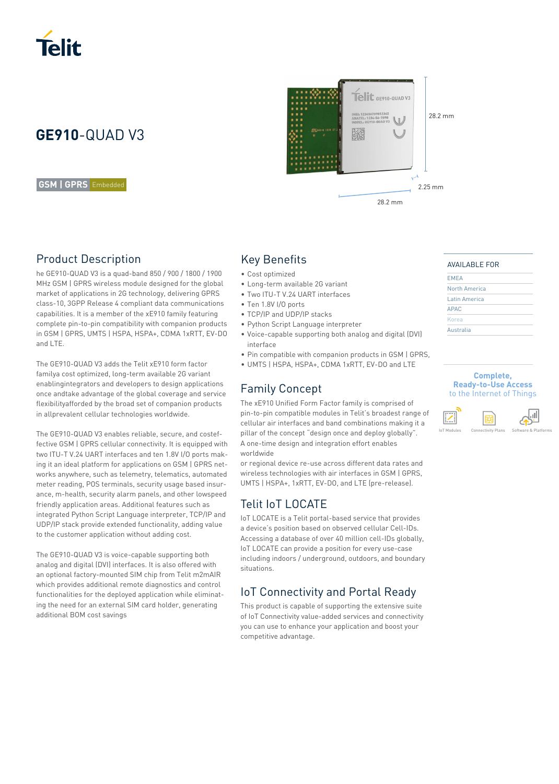

# **GE910**-QUAD V3

### **GSM | GPRS** Embedded

# Product Description

he GE910-QUAD V3 is a quad-band 850 / 900 / 1800 / 1900 MHz GSM | GPRS wireless module designed for the global market of applications in 2G technology, delivering GPRS class-10, 3GPP Release 4 compliant data communications capabilities. It is a member of the xE910 family featuring complete pin-to-pin compatibility with companion products in GSM | GPRS, UMTS | HSPA, HSPA+, CDMA 1xRTT, EV-DO and LTE.

The GE910-QUAD V3 adds the Telit xE910 form factor familya cost optimized, long-term available 2G variant enablingintegrators and developers to design applications once andtake advantage of the global coverage and service flexibilityafforded by the broad set of companion products in allprevalent cellular technologies worldwide.

The GE910-QUAD V3 enables reliable, secure, and costeffective GSM | GPRS cellular connectivity. It is equipped with two ITU-T V.24 UART interfaces and ten 1.8V I/O ports making it an ideal platform for applications on GSM | GPRS networks anywhere, such as telemetry, telematics, automated meter reading, POS terminals, security usage based insurance, m-health, security alarm panels, and other lowspeed friendly application areas. Additional features such as integrated Python Script Language interpreter, TCP/IP and UDP/IP stack provide extended functionality, adding value to the customer application without adding cost.

The GE910-QUAD V3 is voice-capable supporting both analog and digital (DVI) interfaces. It is also offered with an optional factory-mounted SIM chip from Telit m2mAIR which provides additional remote diagnostics and control functionalities for the deployed application while eliminating the need for an external SIM card holder, generating additional BOM cost savings

# Telit GE910-QUAD V3 28.2 mm龖 2.25 mm 28.2 mm

# Key Benefits

- Cost optimized
- Long-term available 2G variant
- Two ITU-T V.24 UART interfaces
- Ten 1.8V I/O ports
- TCP/IP and UDP/IP stacks
- Python Script Language interpreter
- Voice-capable supporting both analog and digital (DVI) interface
- Pin compatible with companion products in GSM | GPRS,
- UMTS | HSPA, HSPA+, CDMA 1xRTT, EV-DO and LTE

# Family Concept

The xE910 Unified Form Factor family is comprised of pin-to-pin compatible modules in Telit's broadest range of cellular air interfaces and band combinations making it a pillar of the concept "design once and deploy globally". A one-time design and integration effort enables worldwide

or regional device re-use across different data rates and wireless technologies with air interfaces in GSM | GPRS, UMTS | HSPA+, 1xRTT, EV-DO, and LTE (pre-release).

# Telit IoT LOCATE

IoT LOCATE is a Telit portal-based service that provides a device's position based on observed cellular Cell-IDs. Accessing a database of over 40 million cell-IDs globally, IoT LOCATE can provide a position for every use-case including indoors / underground, outdoors, and boundary situations.

# IoT Connectivity and Portal Ready

This product is capable of supporting the extensive suite of IoT Connectivity value-added services and connectivity you can use to enhance your application and boost your competitive advantage.

### AVAILABLE FOR

| <b>EMEA</b>   |  |
|---------------|--|
| North America |  |
| Latin America |  |
| APAC          |  |
| Korea         |  |
| Australia     |  |
|               |  |

### **Complete, Ready-to-Use Access**  to the Internet of Things